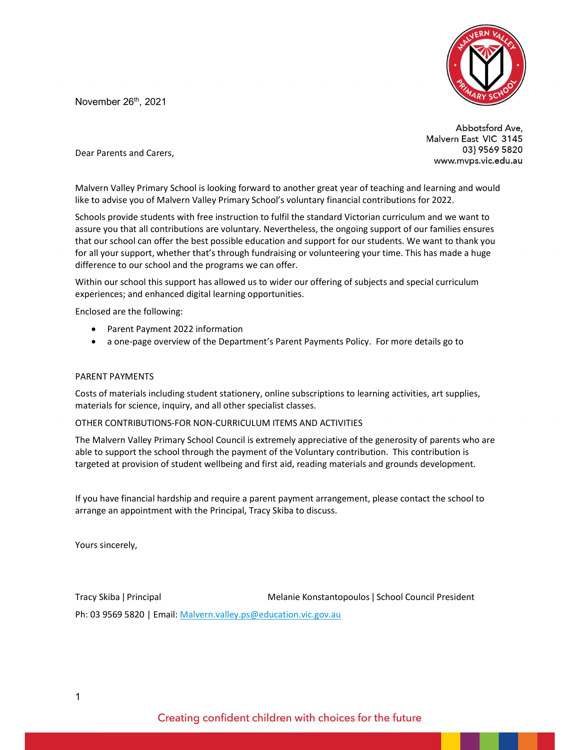November 26<sup>th</sup>, 2021



Abbotsford Ave, Malvern East VIC 3145 03} 9569 5820 www.mvps.vic.edu.au

Dear Parents and Carers,

Malvern Valley Primary School is looking forward to another great year of teaching and learning and would like to advise you of Malvern Valley Primary School's voluntary financial contributions for 2022.

Schools provide students with free instruction to fulfil the standard Victorian curriculum and we want to assure you that all contributions are voluntary. Nevertheless, the ongoing support of our families ensures that our school can offer the best possible education and support for our students. We want to thank you for all your support, whether that's through fundraising or volunteering your time. This has made a huge difference to our school and the programs we can offer.

Within our school this support has allowed us to wider our offering of subjects and special curriculum experiences; and enhanced digital learning opportunities.

Enclosed are the following:

- Parent Payment 2022 information
- a one-page overview of the Department's Parent Payments Policy. For more details go to

#### PARENT PAYMENTS

Costs of materials including student stationery, online subscriptions to learning activities, art supplies, materials for science, inquiry, and all other specialist classes.

#### OTHER CONTRIBUTIONS-FOR NON-CURRICULUM ITEMS AND ACTIVITIES

The Malvern Valley Primary School Council is extremely appreciative of the generosity of parents who are able to support the school through the payment of the Voluntary contribution. This contribution is targeted at provision of student wellbeing and first aid, reading materials and grounds development.

If you have financial hardship and require a parent payment arrangement, please contact the school to arrange an appointment with the Principal, Tracy Skiba to discuss.

Yours sincerely,

Tracy Skiba ǀ Principal Melanie Konstantopoulos ǀ School Council President Ph: 03 9569 5820 | Email: Malvern.valley.ps@education.vic.gov.au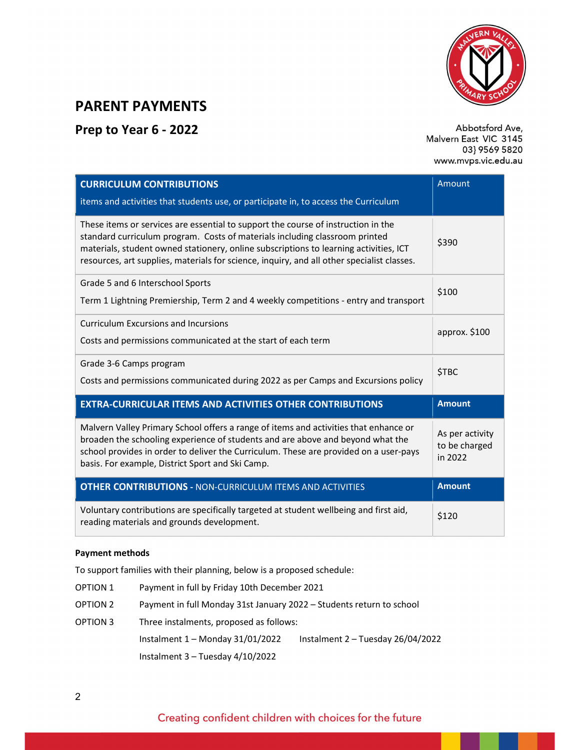

## PARENT PAYMENTS

## Prep to Year 6 - 2022

Abbotsford Ave, Malvern East VIC 3145 03} 9569 5820 www.mvps.vic.edu.au

| <b>CURRICULUM CONTRIBUTIONS</b>                                                                                                                                                                                                                                                                                                                         | Amount                                      |
|---------------------------------------------------------------------------------------------------------------------------------------------------------------------------------------------------------------------------------------------------------------------------------------------------------------------------------------------------------|---------------------------------------------|
| items and activities that students use, or participate in, to access the Curriculum                                                                                                                                                                                                                                                                     |                                             |
| These items or services are essential to support the course of instruction in the<br>standard curriculum program. Costs of materials including classroom printed<br>materials, student owned stationery, online subscriptions to learning activities, ICT<br>resources, art supplies, materials for science, inquiry, and all other specialist classes. | \$390                                       |
| Grade 5 and 6 Interschool Sports<br>Term 1 Lightning Premiership, Term 2 and 4 weekly competitions - entry and transport                                                                                                                                                                                                                                | \$100                                       |
| <b>Curriculum Excursions and Incursions</b><br>Costs and permissions communicated at the start of each term                                                                                                                                                                                                                                             | approx. \$100                               |
| Grade 3-6 Camps program<br>Costs and permissions communicated during 2022 as per Camps and Excursions policy                                                                                                                                                                                                                                            | <b>\$TBC</b>                                |
| <b>EXTRA-CURRICULAR ITEMS AND ACTIVITIES OTHER CONTRIBUTIONS</b>                                                                                                                                                                                                                                                                                        | <b>Amount</b>                               |
| Malvern Valley Primary School offers a range of items and activities that enhance or<br>broaden the schooling experience of students and are above and beyond what the<br>school provides in order to deliver the Curriculum. These are provided on a user-pays<br>basis. For example, District Sport and Ski Camp.                                     | As per activity<br>to be charged<br>in 2022 |
| <b>OTHER CONTRIBUTIONS - NON-CURRICULUM ITEMS AND ACTIVITIES</b>                                                                                                                                                                                                                                                                                        | <b>Amount</b>                               |
| Voluntary contributions are specifically targeted at student wellbeing and first aid,<br>reading materials and grounds development.                                                                                                                                                                                                                     | \$120                                       |

#### Payment methods

To support families with their planning, below is a proposed schedule:

| OPTION 1 | Payment in full by Friday 10th December 2021                         |                                     |  |
|----------|----------------------------------------------------------------------|-------------------------------------|--|
| OPTION 2 | Payment in full Monday 31st January 2022 – Students return to school |                                     |  |
| OPTION 3 | Three instalments, proposed as follows:                              |                                     |  |
|          | Instalment $1 -$ Monday 31/01/2022                                   | Instalment $2 -$ Tuesday 26/04/2022 |  |
|          | Instalment $3 -$ Tuesday 4/10/2022                                   |                                     |  |

## Creating confident children with choices for the future